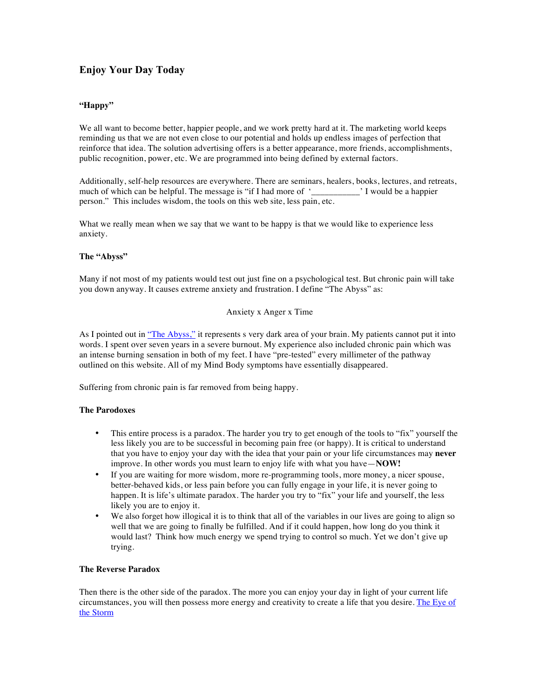# **Enjoy Your Day Today**

# **"Happy"**

We all want to become better, happier people, and we work pretty hard at it. The marketing world keeps reminding us that we are not even close to our potential and holds up endless images of perfection that reinforce that idea. The solution advertising offers is a better appearance, more friends, accomplishments, public recognition, power, etc. We are programmed into being defined by external factors.

Additionally, self-help resources are everywhere. There are seminars, healers, books, lectures, and retreats, much of which can be helpful. The message is "if I had more of '\_\_\_\_\_\_\_\_\_\_\_\_\_\_\_\_\_ person." This includes wisdom, the tools on this web site, less pain, etc.

What we really mean when we say that we want to be happy is that we would like to experience less anxiety.

## **The "Abyss"**

Many if not most of my patients would test out just fine on a psychological test. But chronic pain will take you down anyway. It causes extreme anxiety and frustration. I define "The Abyss" as:

### Anxiety x Anger x Time

As I pointed out in "The Abyss," it represents s very dark area of your brain. My patients cannot put it into words. I spent over seven years in a severe burnout. My experience also included chronic pain which was an intense burning sensation in both of my feet. I have "pre-tested" every millimeter of the pathway outlined on this website. All of my Mind Body symptoms have essentially disappeared.

Suffering from chronic pain is far removed from being happy.

#### **The Parodoxes**

- This entire process is a paradox. The harder you try to get enough of the tools to "fix" yourself the less likely you are to be successful in becoming pain free (or happy). It is critical to understand that you have to enjoy your day with the idea that your pain or your life circumstances may **never** improve. In other words you must learn to enjoy life with what you have—**NOW!**
- If you are waiting for more wisdom, more re-programming tools, more money, a nicer spouse, better-behaved kids, or less pain before you can fully engage in your life, it is never going to happen. It is life's ultimate paradox. The harder you try to "fix" your life and yourself, the less likely you are to enjoy it.
- We also forget how illogical it is to think that all of the variables in our lives are going to align so well that we are going to finally be fulfilled. And if it could happen, how long do you think it would last? Think how much energy we spend trying to control so much. Yet we don't give up trying.

#### **The Reverse Paradox**

Then there is the other side of the paradox. The more you can enjoy your day in light of your current life circumstances, you will then possess more energy and creativity to create a life that you desire. The Eye of the Storm